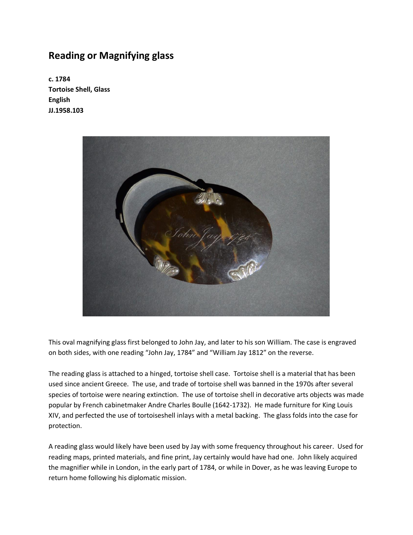## **Reading or Magnifying glass**

**c. 1784 Tortoise Shell, Glass English JJ.1958.103**



This oval magnifying glass first belonged to John Jay, and later to his son William. The case is engraved on both sides, with one reading "John Jay, 1784" and "William Jay 1812" on the reverse.

The reading glass is attached to a hinged, tortoise shell case. Tortoise shell is a material that has been used since ancient Greece. The use, and trade of tortoise shell was banned in the 1970s after several species of tortoise were nearing extinction. The use of tortoise shell in decorative arts objects was made popular by French cabinetmaker Andre Charles Boulle (1642-1732). He made furniture for King Louis XIV, and perfected the use of tortoiseshell inlays with a metal backing. The glass folds into the case for protection.

A reading glass would likely have been used by Jay with some frequency throughout his career. Used for reading maps, printed materials, and fine print, Jay certainly would have had one. John likely acquired the magnifier while in London, in the early part of 1784, or while in Dover, as he was leaving Europe to return home following his diplomatic mission.